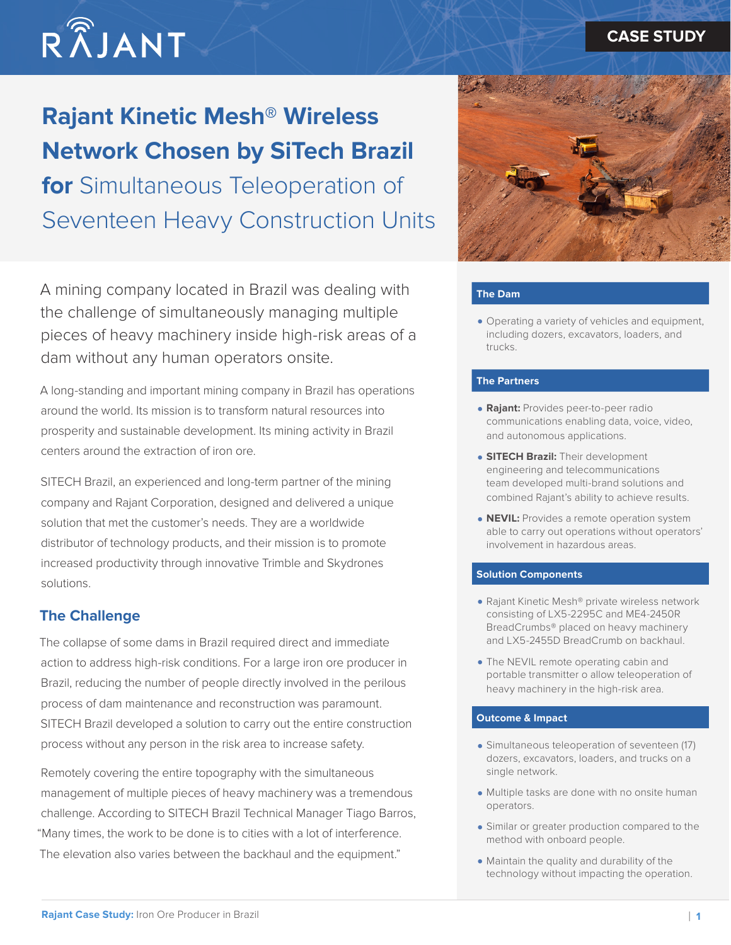# RÂJANT

## **Rajant Kinetic Mesh® Wireless Network Chosen by SiTech Brazil for** Simultaneous Teleoperation of Seventeen Heavy Construction Units

A mining company located in Brazil was dealing with the challenge of simultaneously managing multiple pieces of heavy machinery inside high-risk areas of a dam without any human operators onsite.

A long-standing and important mining company in Brazil has operations around the world. Its mission is to transform natural resources into prosperity and sustainable development. Its mining activity in Brazil centers around the extraction of iron ore.

SITECH Brazil, an experienced and long-term partner of the mining company and Rajant Corporation, designed and delivered a unique solution that met the customer's needs. They are a worldwide distributor of technology products, and their mission is to promote increased productivity through innovative Trimble and Skydrones solutions.

#### **The Challenge**

The collapse of some dams in Brazil required direct and immediate action to address high-risk conditions. For a large iron ore producer in Brazil, reducing the number of people directly involved in the perilous process of dam maintenance and reconstruction was paramount. SITECH Brazil developed a solution to carry out the entire construction process without any person in the risk area to increase safety.

Remotely covering the entire topography with the simultaneous management of multiple pieces of heavy machinery was a tremendous challenge. According to SITECH Brazil Technical Manager Tiago Barros, "Many times, the work to be done is to cities with a lot of interference. The elevation also varies between the backhaul and the equipment."



#### **The Dam**

• Operating a variety of vehicles and equipment, including dozers, excavators, loaders, and trucks.

#### **The Partners**

- **Rajant:** Provides peer-to-peer radio communications enabling data, voice, video, and autonomous applications.
- **SITECH Brazil:** Their development engineering and telecommunications team developed multi-brand solutions and combined Rajant's ability to achieve results.
- **NEVIL:** Provides a remote operation system able to carry out operations without operators' involvement in hazardous areas.

#### **Solution Components**

- Rajant Kinetic Mesh® private wireless network consisting of LX5-2295C and ME4-2450R BreadCrumbs® placed on heavy machinery and LX5-2455D BreadCrumb on backhaul.
- The NEVIL remote operating cabin and portable transmitter o allow teleoperation of heavy machinery in the high-risk area.

#### **Outcome & Impact**

- Simultaneous teleoperation of seventeen (17) dozers, excavators, loaders, and trucks on a single network.
- Multiple tasks are done with no onsite human operators.
- Similar or greater production compared to the method with onboard people.
- Maintain the quality and durability of the technology without impacting the operation.

### **CASE STUDY**